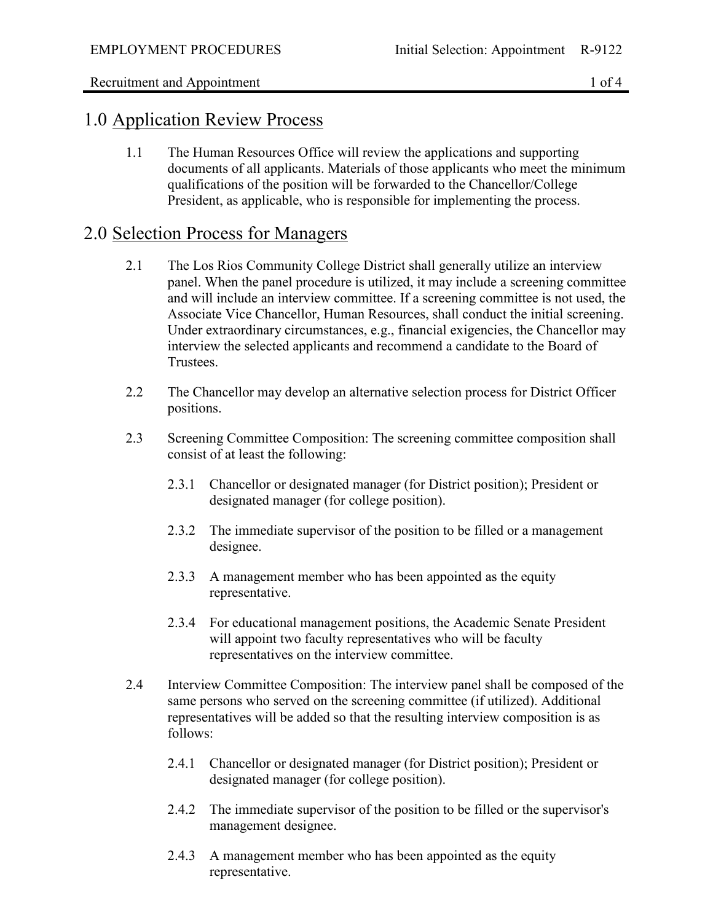## 1.0 Application Review Process

1.1 The Human Resources Office will review the applications and supporting documents of all applicants. Materials of those applicants who meet the minimum qualifications of the position will be forwarded to the Chancellor/College President, as applicable, who is responsible for implementing the process.

## 2.0 Selection Process for Managers

- 2.1 The Los Rios Community College District shall generally utilize an interview panel. When the panel procedure is utilized, it may include a screening committee and will include an interview committee. If a screening committee is not used, the Associate Vice Chancellor, Human Resources, shall conduct the initial screening. Under extraordinary circumstances, e.g., financial exigencies, the Chancellor may interview the selected applicants and recommend a candidate to the Board of Trustees.
- 2.2 The Chancellor may develop an alternative selection process for District Officer positions.
- 2.3 Screening Committee Composition: The screening committee composition shall consist of at least the following:
	- 2.3.1 Chancellor or designated manager (for District position); President or designated manager (for college position).
	- 2.3.2 The immediate supervisor of the position to be filled or a management designee.
	- 2.3.3 A management member who has been appointed as the equity representative.
	- 2.3.4 For educational management positions, the Academic Senate President will appoint two faculty representatives who will be faculty representatives on the interview committee.
- 2.4 Interview Committee Composition: The interview panel shall be composed of the same persons who served on the screening committee (if utilized). Additional representatives will be added so that the resulting interview composition is as follows:
	- 2.4.1 Chancellor or designated manager (for District position); President or designated manager (for college position).
	- 2.4.2 The immediate supervisor of the position to be filled or the supervisor's management designee.
	- 2.4.3 A management member who has been appointed as the equity representative.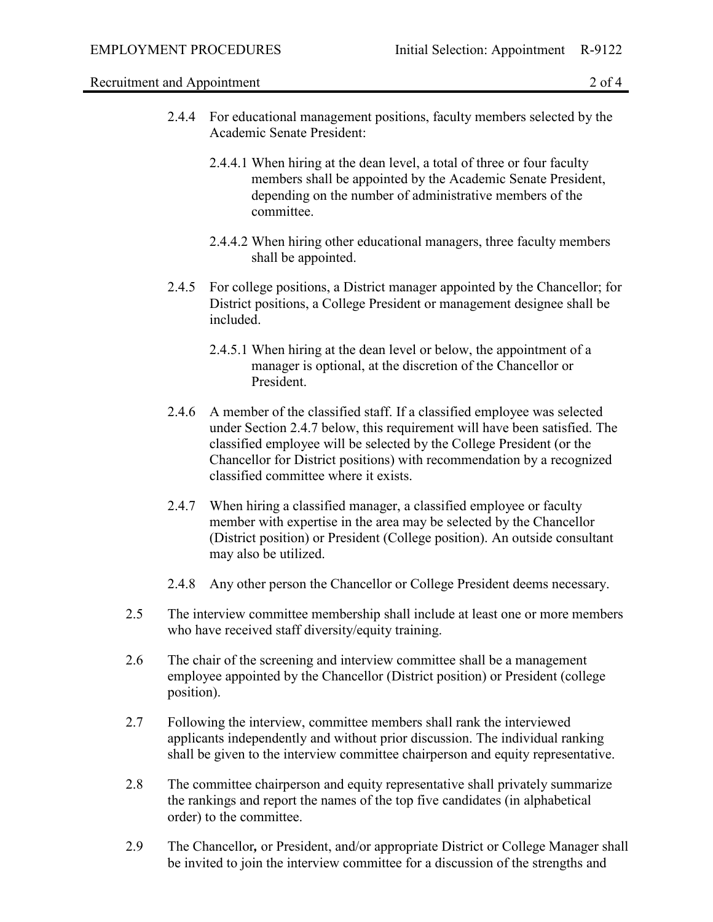Recruitment and Appointment 2 of 4

- 2.4.4 For educational management positions, faculty members selected by the Academic Senate President:
	- 2.4.4.1 When hiring at the dean level, a total of three or four faculty members shall be appointed by the Academic Senate President, depending on the number of administrative members of the committee.
	- 2.4.4.2 When hiring other educational managers, three faculty members shall be appointed.
- 2.4.5 For college positions, a District manager appointed by the Chancellor; for District positions, a College President or management designee shall be included.
	- 2.4.5.1 When hiring at the dean level or below, the appointment of a manager is optional, at the discretion of the Chancellor or President.
- 2.4.6 A member of the classified staff. If a classified employee was selected under Section 2.4.7 below, this requirement will have been satisfied. The classified employee will be selected by the College President (or the Chancellor for District positions) with recommendation by a recognized classified committee where it exists.
- 2.4.7 When hiring a classified manager, a classified employee or faculty member with expertise in the area may be selected by the Chancellor (District position) or President (College position). An outside consultant may also be utilized.
- 2.4.8 Any other person the Chancellor or College President deems necessary.
- 2.5 The interview committee membership shall include at least one or more members who have received staff diversity/equity training.
- 2.6 The chair of the screening and interview committee shall be a management employee appointed by the Chancellor (District position) or President (college position).
- 2.7 Following the interview, committee members shall rank the interviewed applicants independently and without prior discussion. The individual ranking shall be given to the interview committee chairperson and equity representative.
- 2.8 The committee chairperson and equity representative shall privately summarize the rankings and report the names of the top five candidates (in alphabetical order) to the committee.
- 2.9 The Chancellor*,* or President, and/or appropriate District or College Manager shall be invited to join the interview committee for a discussion of the strengths and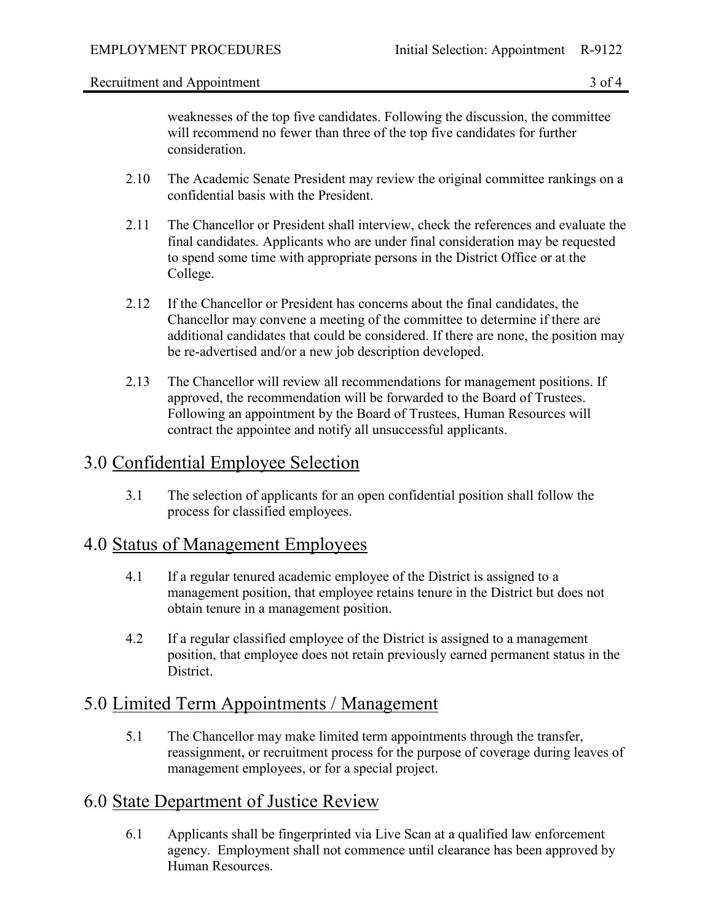#### Recruitment and Appointment 3 of 4

weaknesses of the top five candidates. Following the discussion, the committee will recommend no fewer than three of the top five candidates for further consideration.

- 2.10 The Academic Senate President may review the original committee rankings on a confidential basis with the President.
- 2.11 The Chancellor or President shall interview, check the references and evaluate the final candidates. Applicants who are under final consideration may be requested to spend some time with appropriate persons in the District Office or at the College.
- 2.12 If the Chancellor or President has concerns about the final candidates, the Chancellor may convene a meeting of the committee to determine if there are additional candidates that could be considered. If there are none, the position may be re-advertised and/or a new job description developed.
- 2.13 The Chancellor will review all recommendations for management positions. If approved, the recommendation will be forwarded to the Board of Trustees. Following an appointment by the Board of Trustees, Human Resources will contract the appointee and notify all unsuccessful applicants.

# 3.0 Confidential Employee Selection

3.1 The selection of applicants for an open confidential position shall follow the process for classified employees.

## 4.0 Status of Management Employees

- 4.1 If a regular tenured academic employee of the District is assigned to a management position, that employee retains tenure in the District but does not obtain tenure in a management position.
- 4.2 If a regular classified employee of the District is assigned to a management position, that employee does not retain previously earned permanent status in the District.

## 5.0 Limited Term Appointments / Management

5.1 The Chancellor may make limited term appointments through the transfer, reassignment, or recruitment process for the purpose of coverage during leaves of management employees, or for a special project.

# 6.0 State Department of Justice Review

6.1 Applicants shall be fingerprinted via Live Scan at a qualified law enforcement agency. Employment shall not commence until clearance has been approved by Human Resources.